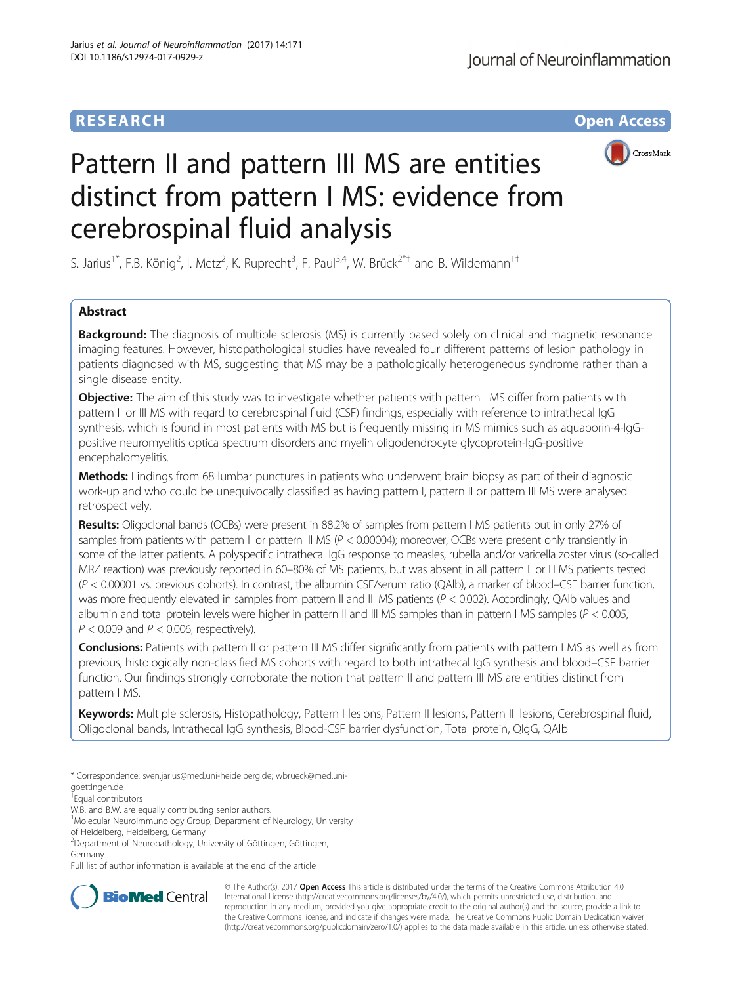# **RESEARCH CHE Open Access**



# Pattern II and pattern III MS are entities distinct from pattern I MS: evidence from cerebrospinal fluid analysis

S. Jarius<sup>1\*</sup>, F.B. König<sup>2</sup>, I. Metz<sup>2</sup>, K. Ruprecht<sup>3</sup>, F. Paul<sup>3,4</sup>, W. Brück<sup>2\*†</sup> and B. Wildemann<sup>1†</sup>

# Abstract

**Background:** The diagnosis of multiple sclerosis (MS) is currently based solely on clinical and magnetic resonance imaging features. However, histopathological studies have revealed four different patterns of lesion pathology in patients diagnosed with MS, suggesting that MS may be a pathologically heterogeneous syndrome rather than a single disease entity.

Objective: The aim of this study was to investigate whether patients with pattern I MS differ from patients with pattern II or III MS with regard to cerebrospinal fluid (CSF) findings, especially with reference to intrathecal IgG synthesis, which is found in most patients with MS but is frequently missing in MS mimics such as aquaporin-4-IgGpositive neuromyelitis optica spectrum disorders and myelin oligodendrocyte glycoprotein-IgG-positive encephalomyelitis.

Methods: Findings from 68 lumbar punctures in patients who underwent brain biopsy as part of their diagnostic work-up and who could be unequivocally classified as having pattern I, pattern II or pattern III MS were analysed retrospectively.

Results: Oligoclonal bands (OCBs) were present in 88.2% of samples from pattern I MS patients but in only 27% of samples from patients with pattern II or pattern III MS ( $P < 0.00004$ ); moreover, OCBs were present only transiently in some of the latter patients. A polyspecific intrathecal IgG response to measles, rubella and/or varicella zoster virus (so-called MRZ reaction) was previously reported in 60–80% of MS patients, but was absent in all pattern II or III MS patients tested (P < 0.00001 vs. previous cohorts). In contrast, the albumin CSF/serum ratio (QAlb), a marker of blood–CSF barrier function, was more frequently elevated in samples from pattern II and III MS patients ( $P < 0.002$ ). Accordingly, QAIb values and albumin and total protein levels were higher in pattern II and III MS samples than in pattern I MS samples ( $P < 0.005$ ,  $P < 0.009$  and  $P < 0.006$ , respectively).

**Conclusions:** Patients with pattern II or pattern III MS differ significantly from patients with pattern I MS as well as from previous, histologically non-classified MS cohorts with regard to both intrathecal IgG synthesis and blood–CSF barrier function. Our findings strongly corroborate the notion that pattern II and pattern III MS are entities distinct from pattern I MS.

Keywords: Multiple sclerosis, Histopathology, Pattern I lesions, Pattern II lesions, Pattern III lesions, Cerebrospinal fluid, Oligoclonal bands, Intrathecal IgG synthesis, Blood-CSF barrier dysfunction, Total protein, QIgG, QAlb

of Heidelberg, Heidelberg, Germany

Full list of author information is available at the end of the article



© The Author(s). 2017 **Open Access** This article is distributed under the terms of the Creative Commons Attribution 4.0 International License [\(http://creativecommons.org/licenses/by/4.0/](http://creativecommons.org/licenses/by/4.0/)), which permits unrestricted use, distribution, and reproduction in any medium, provided you give appropriate credit to the original author(s) and the source, provide a link to the Creative Commons license, and indicate if changes were made. The Creative Commons Public Domain Dedication waiver [\(http://creativecommons.org/publicdomain/zero/1.0/](http://creativecommons.org/publicdomain/zero/1.0/)) applies to the data made available in this article, unless otherwise stated.

<sup>\*</sup> Correspondence: [sven.jarius@med.uni-heidelberg.de](mailto:sven.jarius@med.uni-heidelberg.de); [wbrueck@med.uni-](mailto:wbrueck@med.uni-goettingen.de)

[goettingen.de](mailto:wbrueck@med.uni-goettingen.de) † Equal contributors

W.B. and B.W. are equally contributing senior authors.

<sup>&</sup>lt;sup>1</sup>Molecular Neuroimmunology Group, Department of Neurology, University

<sup>2</sup> Department of Neuropathology, University of Göttingen, Göttingen, Germany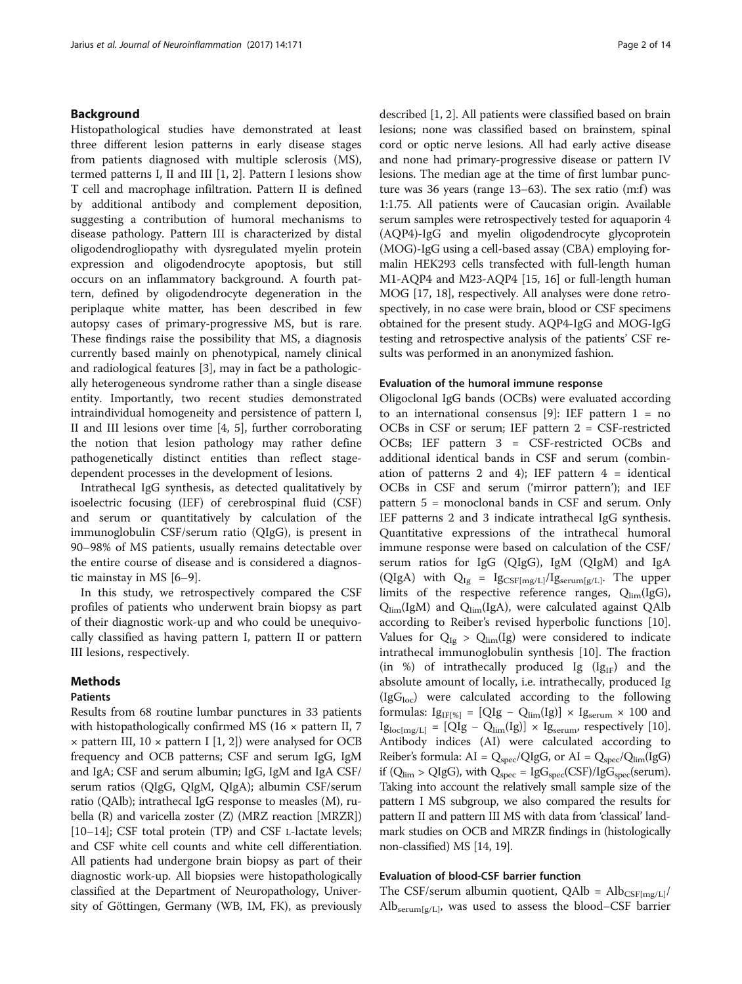# Background

Histopathological studies have demonstrated at least three different lesion patterns in early disease stages from patients diagnosed with multiple sclerosis (MS), termed patterns I, II and III [[1, 2\]](#page-12-0). Pattern I lesions show T cell and macrophage infiltration. Pattern II is defined by additional antibody and complement deposition, suggesting a contribution of humoral mechanisms to disease pathology. Pattern III is characterized by distal oligodendrogliopathy with dysregulated myelin protein expression and oligodendrocyte apoptosis, but still occurs on an inflammatory background. A fourth pattern, defined by oligodendrocyte degeneration in the periplaque white matter, has been described in few autopsy cases of primary-progressive MS, but is rare. These findings raise the possibility that MS, a diagnosis currently based mainly on phenotypical, namely clinical and radiological features [[3\]](#page-12-0), may in fact be a pathologically heterogeneous syndrome rather than a single disease entity. Importantly, two recent studies demonstrated intraindividual homogeneity and persistence of pattern I, II and III lesions over time [\[4](#page-12-0), [5](#page-12-0)], further corroborating the notion that lesion pathology may rather define pathogenetically distinct entities than reflect stagedependent processes in the development of lesions.

Intrathecal IgG synthesis, as detected qualitatively by isoelectric focusing (IEF) of cerebrospinal fluid (CSF) and serum or quantitatively by calculation of the immunoglobulin CSF/serum ratio (QIgG), is present in 90–98% of MS patients, usually remains detectable over the entire course of disease and is considered a diagnostic mainstay in MS [\[6](#page-12-0)–[9\]](#page-12-0).

In this study, we retrospectively compared the CSF profiles of patients who underwent brain biopsy as part of their diagnostic work-up and who could be unequivocally classified as having pattern I, pattern II or pattern III lesions, respectively.

#### Methods

#### Patients

Results from 68 routine lumbar punctures in 33 patients with histopathologically confirmed MS (16  $\times$  pattern II, 7  $\times$  pattern III, 10  $\times$  pattern I [[1, 2](#page-12-0)]) were analysed for OCB frequency and OCB patterns; CSF and serum IgG, IgM and IgA; CSF and serum albumin; IgG, IgM and IgA CSF/ serum ratios (QIgG, QIgM, QIgA); albumin CSF/serum ratio (QAlb); intrathecal IgG response to measles (M), rubella (R) and varicella zoster (Z) (MRZ reaction [MRZR]) [[10](#page-12-0)–[14\]](#page-12-0); CSF total protein (TP) and CSF L-lactate levels; and CSF white cell counts and white cell differentiation. All patients had undergone brain biopsy as part of their diagnostic work-up. All biopsies were histopathologically classified at the Department of Neuropathology, University of Göttingen, Germany (WB, IM, FK), as previously described [\[1](#page-12-0), [2\]](#page-12-0). All patients were classified based on brain lesions; none was classified based on brainstem, spinal cord or optic nerve lesions. All had early active disease and none had primary-progressive disease or pattern IV lesions. The median age at the time of first lumbar puncture was 36 years (range  $13-63$ ). The sex ratio (m:f) was 1:1.75. All patients were of Caucasian origin. Available serum samples were retrospectively tested for aquaporin 4 (AQP4)-IgG and myelin oligodendrocyte glycoprotein (MOG)-IgG using a cell-based assay (CBA) employing formalin HEK293 cells transfected with full-length human M1-AQP4 and M23-AQP4 [[15](#page-12-0), [16\]](#page-12-0) or full-length human MOG [[17](#page-12-0), [18](#page-13-0)], respectively. All analyses were done retrospectively, in no case were brain, blood or CSF specimens obtained for the present study. AQP4-IgG and MOG-IgG testing and retrospective analysis of the patients' CSF results was performed in an anonymized fashion.

#### Evaluation of the humoral immune response

Oligoclonal IgG bands (OCBs) were evaluated according to an international consensus [\[9](#page-12-0)]: IEF pattern  $1 = no$ OCBs in CSF or serum; IEF pattern 2 = CSF-restricted OCBs; IEF pattern 3 = CSF-restricted OCBs and additional identical bands in CSF and serum (combination of patterns 2 and 4); IEF pattern  $4 =$  identical OCBs in CSF and serum ('mirror pattern'); and IEF pattern 5 = monoclonal bands in CSF and serum. Only IEF patterns 2 and 3 indicate intrathecal IgG synthesis. Quantitative expressions of the intrathecal humoral immune response were based on calculation of the CSF/ serum ratios for IgG (QIgG), IgM (QIgM) and IgA (QIgA) with  $Q_{Ig} = Ig_{CSF[mg/L]}/Ig_{serum[g/L]}$ . The upper limits of the respective reference ranges,  $Q_{\text{lim}}(I g G)$ ,  $Q_{\text{lim}}(IgM)$  and  $Q_{\text{lim}}(IgA)$ , were calculated against QAlb according to Reiber's revised hyperbolic functions [\[10](#page-12-0)]. Values for  $Q_{Ig} > Q_{\text{lim}}(Ig)$  were considered to indicate intrathecal immunoglobulin synthesis [[10\]](#page-12-0). The fraction (in %) of intrathecally produced Ig  $(Ig_{IF})$  and the absolute amount of locally, i.e. intrathecally, produced Ig  $(IGG<sub>loc</sub>)$  were calculated according to the following formulas:  $Ig_{IF[\%]} = [QIg - Q_{lim}(Ig)] \times Ig_{serum} \times 100$  and  $I_{\text{g}_{\text{loc[mg/L]}}} = [\text{QIg} - \text{Q}_{\text{lim}}(\text{Ig})] \times \text{I}_{\text{Serum}}$ , respectively [\[10](#page-12-0)]. Antibody indices (AI) were calculated according to Reiber's formula:  $AI = Q_{spec}/QIgG$ , or  $AI = Q_{spec}/Q_{lim}(IgG)$ if ( $Q_{\text{lim}} > QIgG$ ), with  $Q_{\text{spec}} = IgG_{\text{spec}}(CSF)/IgG_{\text{spec}}(\text{serum}).$ Taking into account the relatively small sample size of the pattern I MS subgroup, we also compared the results for pattern II and pattern III MS with data from 'classical' landmark studies on OCB and MRZR findings in (histologically non-classified) MS [\[14,](#page-12-0) [19\]](#page-13-0).

# Evaluation of blood-CSF barrier function

The CSF/serum albumin quotient, QAlb =  $Alb_{CSF[mg/L]}/$ Alb<sub>serum[g/L]</sub>, was used to assess the blood–CSF barrier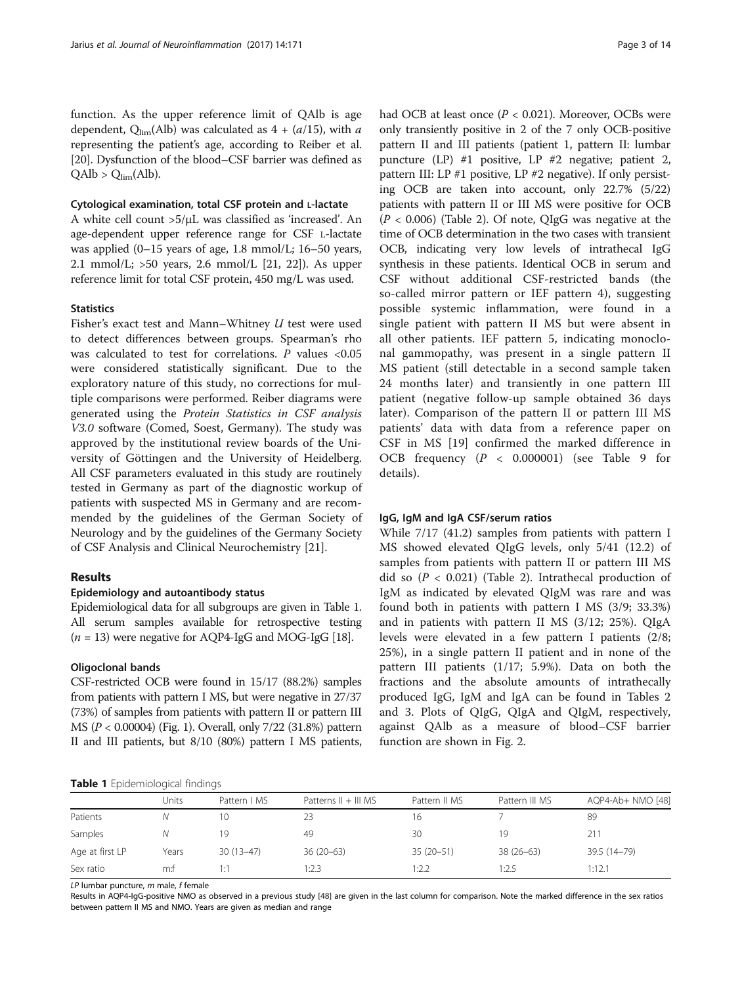<span id="page-2-0"></span>function. As the upper reference limit of QAlb is age dependent,  $Q_{\text{lim}}(Alb)$  was calculated as  $4 + (a/15)$ , with a representing the patient's age, according to Reiber et al. [[20](#page-13-0)]. Dysfunction of the blood–CSF barrier was defined as  $QAlb > Q_{lim}(Alb).$ 

## Cytological examination, total CSF protein and L-lactate

A white cell count >5/μL was classified as 'increased'. An age-dependent upper reference range for CSF L-lactate was applied (0–15 years of age, 1.8 mmol/L; 16–50 years, 2.1 mmol/L; >50 years, 2.6 mmol/L [[21](#page-13-0), [22\]](#page-13-0)). As upper reference limit for total CSF protein, 450 mg/L was used.

## **Statistics**

Fisher's exact test and Mann–Whitney U test were used to detect differences between groups. Spearman's rho was calculated to test for correlations. P values <0.05 were considered statistically significant. Due to the exploratory nature of this study, no corrections for multiple comparisons were performed. Reiber diagrams were generated using the Protein Statistics in CSF analysis V3.0 software (Comed, Soest, Germany). The study was approved by the institutional review boards of the University of Göttingen and the University of Heidelberg. All CSF parameters evaluated in this study are routinely tested in Germany as part of the diagnostic workup of patients with suspected MS in Germany and are recommended by the guidelines of the German Society of Neurology and by the guidelines of the Germany Society of CSF Analysis and Clinical Neurochemistry [[21](#page-13-0)].

# Results

#### Epidemiology and autoantibody status

Epidemiological data for all subgroups are given in Table 1. All serum samples available for retrospective testing  $(n = 13)$  were negative for AQP4-IgG and MOG-IgG [[18](#page-13-0)].

#### Oligoclonal bands

CSF-restricted OCB were found in 15/17 (88.2%) samples from patients with pattern I MS, but were negative in 27/37 (73%) of samples from patients with pattern II or pattern III MS (P < 0.00004) (Fig. [1](#page-3-0)). Overall, only 7/22 (31.8%) pattern II and III patients, but 8/10 (80%) pattern I MS patients, had OCB at least once  $(P < 0.021)$ . Moreover, OCBs were only transiently positive in 2 of the 7 only OCB-positive pattern II and III patients (patient 1, pattern II: lumbar puncture (LP) #1 positive, LP #2 negative; patient 2, pattern III: LP #1 positive, LP #2 negative). If only persisting OCB are taken into account, only 22.7% (5/22) patients with pattern II or III MS were positive for OCB  $(P < 0.006)$  (Table [2](#page-4-0)). Of note, OIgG was negative at the time of OCB determination in the two cases with transient OCB, indicating very low levels of intrathecal IgG synthesis in these patients. Identical OCB in serum and CSF without additional CSF-restricted bands (the so-called mirror pattern or IEF pattern 4), suggesting possible systemic inflammation, were found in a single patient with pattern II MS but were absent in all other patients. IEF pattern 5, indicating monoclonal gammopathy, was present in a single pattern II MS patient (still detectable in a second sample taken 24 months later) and transiently in one pattern III patient (negative follow-up sample obtained 36 days later). Comparison of the pattern II or pattern III MS patients' data with data from a reference paper on CSF in MS [[19](#page-13-0)] confirmed the marked difference in OCB frequency (P < 0.000001) (see Table [9](#page-10-0) for details).

## IgG, IgM and IgA CSF/serum ratios

While 7/17 (41.2) samples from patients with pattern I MS showed elevated QIgG levels, only 5/41 (12.2) of samples from patients with pattern II or pattern III MS did so  $(P < 0.021)$  (Table [2](#page-4-0)). Intrathecal production of IgM as indicated by elevated QIgM was rare and was found both in patients with pattern I MS (3/9; 33.3%) and in patients with pattern II MS (3/12; 25%). QIgA levels were elevated in a few pattern I patients (2/8; 25%), in a single pattern II patient and in none of the pattern III patients (1/17; 5.9%). Data on both the fractions and the absolute amounts of intrathecally produced IgG, IgM and IgA can be found in Tables [2](#page-4-0) and [3](#page-5-0). Plots of QIgG, QIgA and QIgM, respectively, against QAlb as a measure of blood–CSF barrier function are shown in Fig. [2](#page-6-0).

Table 1 Fpidemiological findings

|                 | Units | Pattern   MS | Patterns $   +   $ MS | Pattern II MS | Pattern III MS | AQP4-Ab+ NMO [48] |  |  |  |
|-----------------|-------|--------------|-----------------------|---------------|----------------|-------------------|--|--|--|
| Patients        |       | 10           | 23                    | 16            |                | 89                |  |  |  |
| Samples         |       | 19           | 49                    | 30            | 19             | 211               |  |  |  |
| Age at first LP | Years | $30(13-47)$  | $36(20-63)$           | $35(20-51)$   | $38(26-63)$    | 39.5 (14-79)      |  |  |  |
| Sex ratio       | m:t   | 1:1          | 1:2.3                 | 1:2.2         | 1:2.5          | 1:12.1            |  |  |  |

 $LP$  lumbar puncture,  $m$  male,  $f$  female

Results in AQP4-IgG-positive NMO as observed in a previous study [\[48](#page-13-0)] are given in the last column for comparison. Note the marked difference in the sex ratios between pattern II MS and NMO. Years are given as median and range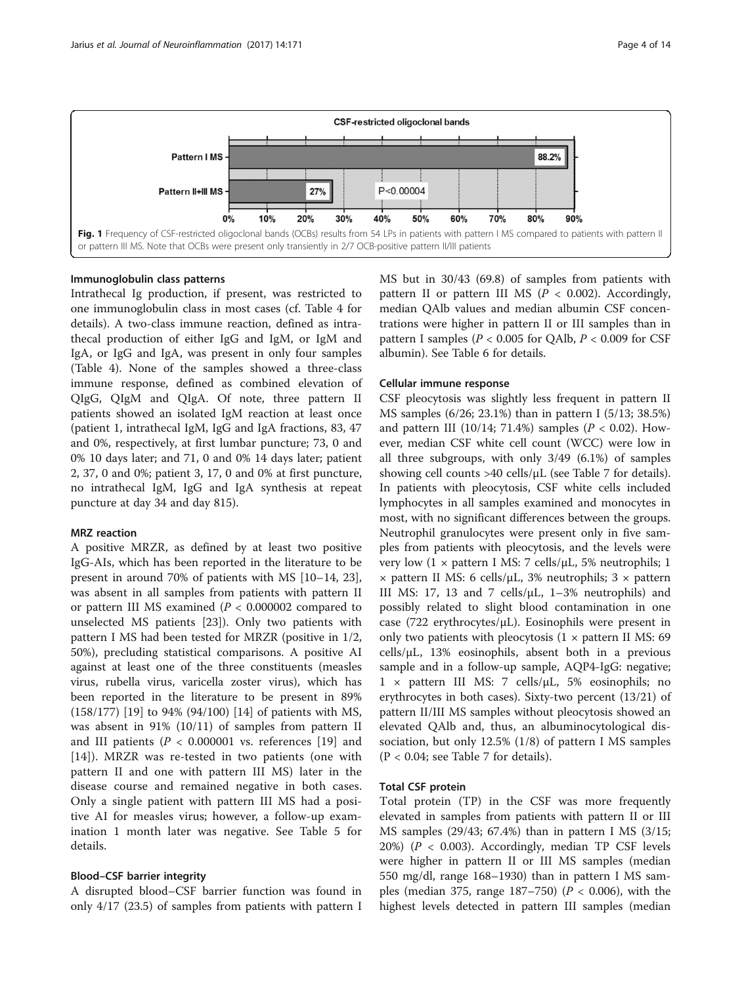<span id="page-3-0"></span>

# Immunoglobulin class patterns

Intrathecal Ig production, if present, was restricted to one immunoglobulin class in most cases (cf. Table [4](#page-7-0) for details). A two-class immune reaction, defined as intrathecal production of either IgG and IgM, or IgM and IgA, or IgG and IgA, was present in only four samples (Table [4](#page-7-0)). None of the samples showed a three-class immune response, defined as combined elevation of QIgG, QIgM and QIgA. Of note, three pattern II patients showed an isolated IgM reaction at least once (patient 1, intrathecal IgM, IgG and IgA fractions, 83, 47 and 0%, respectively, at first lumbar puncture; 73, 0 and 0% 10 days later; and 71, 0 and 0% 14 days later; patient 2, 37, 0 and 0%; patient 3, 17, 0 and 0% at first puncture, no intrathecal IgM, IgG and IgA synthesis at repeat puncture at day 34 and day 815).

# MRZ reaction

A positive MRZR, as defined by at least two positive IgG-AIs, which has been reported in the literature to be present in around 70% of patients with MS [\[10](#page-12-0)–[14,](#page-12-0) [23](#page-13-0)], was absent in all samples from patients with pattern II or pattern III MS examined ( $P < 0.000002$  compared to unselected MS patients [\[23](#page-13-0)]). Only two patients with pattern I MS had been tested for MRZR (positive in 1/2, 50%), precluding statistical comparisons. A positive AI against at least one of the three constituents (measles virus, rubella virus, varicella zoster virus), which has been reported in the literature to be present in 89% (158/177) [\[19](#page-13-0)] to 94% (94/100) [[14](#page-12-0)] of patients with MS, was absent in 91% (10/11) of samples from pattern II and III patients ( $P < 0.000001$  vs. references [[19\]](#page-13-0) and [[14\]](#page-12-0)). MRZR was re-tested in two patients (one with pattern II and one with pattern III MS) later in the disease course and remained negative in both cases. Only a single patient with pattern III MS had a positive AI for measles virus; however, a follow-up examination 1 month later was negative. See Table [5](#page-7-0) for details.

# Blood–CSF barrier integrity

A disrupted blood–CSF barrier function was found in only 4/17 (23.5) of samples from patients with pattern I MS but in 30/43 (69.8) of samples from patients with pattern II or pattern III MS ( $P < 0.002$ ). Accordingly, median QAlb values and median albumin CSF concentrations were higher in pattern II or III samples than in pattern I samples ( $P < 0.005$  for QAlb,  $P < 0.009$  for CSF albumin). See Table [6](#page-8-0) for details.

# Cellular immune response

CSF pleocytosis was slightly less frequent in pattern II MS samples (6/26; 23.1%) than in pattern I (5/13; 38.5%) and pattern III (10/14; 71.4%) samples ( $P < 0.02$ ). However, median CSF white cell count (WCC) were low in all three subgroups, with only 3/49 (6.1%) of samples showing cell counts >40 cells/μL (see Table [7](#page-8-0) for details). In patients with pleocytosis, CSF white cells included lymphocytes in all samples examined and monocytes in most, with no significant differences between the groups. Neutrophil granulocytes were present only in five samples from patients with pleocytosis, and the levels were very low  $(1 \times$  pattern I MS: 7 cells/ $\mu$ L, 5% neutrophils; 1  $\times$  pattern II MS: 6 cells/ $\mu$ L, 3% neutrophils; 3  $\times$  pattern III MS: 17, 13 and 7 cells/μL, 1–3% neutrophils) and possibly related to slight blood contamination in one case (722 erythrocytes/μL). Eosinophils were present in only two patients with pleocytosis  $(1 \times$  pattern II MS: 69  $cells/µL$ , 13% eosinophils, absent both in a previous sample and in a follow-up sample, AQP4-IgG: negative; 1 × pattern III MS: 7 cells/μL, 5% eosinophils; no erythrocytes in both cases). Sixty-two percent (13/21) of pattern II/III MS samples without pleocytosis showed an elevated QAlb and, thus, an albuminocytological dissociation, but only 12.5% (1/8) of pattern I MS samples  $(P < 0.04$ ; see Table [7](#page-8-0) for details).

# Total CSF protein

Total protein (TP) in the CSF was more frequently elevated in samples from patients with pattern II or III MS samples (29/43; 67.4%) than in pattern I MS (3/15; 20%) (P < 0.003). Accordingly, median TP CSF levels were higher in pattern II or III MS samples (median 550 mg/dl, range 168–1930) than in pattern I MS samples (median 375, range  $187–750$ ) ( $P < 0.006$ ), with the highest levels detected in pattern III samples (median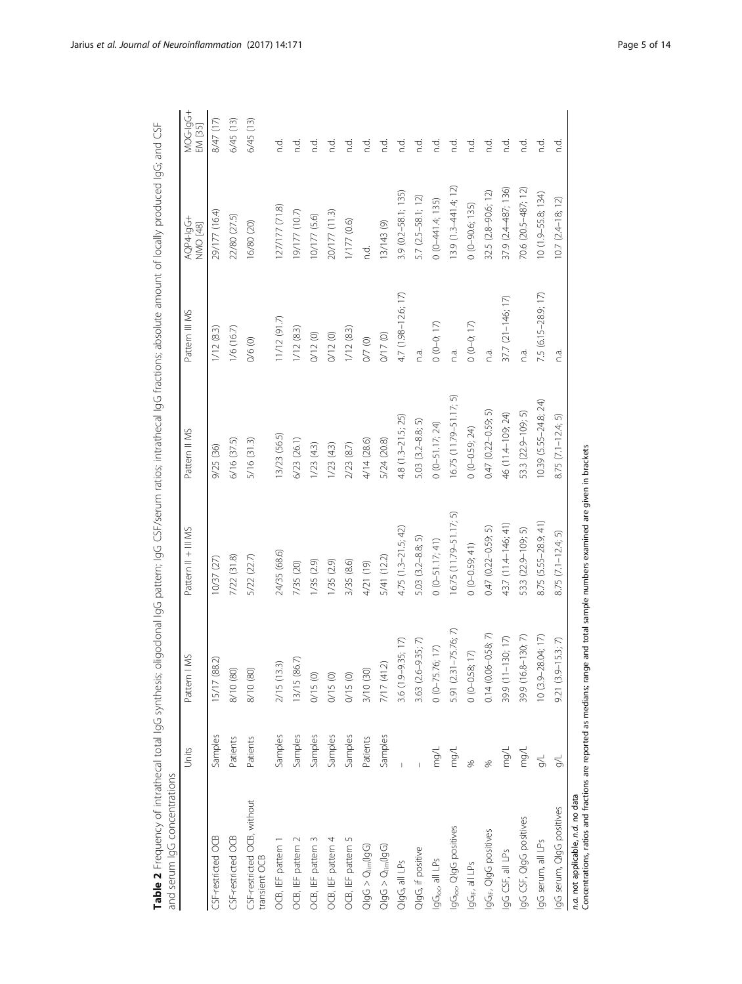| and serum IgG concentrations                                                                                                                                     |          |                                |                           |                           |                     |                              |                     |
|------------------------------------------------------------------------------------------------------------------------------------------------------------------|----------|--------------------------------|---------------------------|---------------------------|---------------------|------------------------------|---------------------|
|                                                                                                                                                                  | Units    | Pattern I MS                   | Pattern II + III MS       | Pattern II MS             | Pattern III MS      | AQP4-lqG+<br><b>NMO</b> [48] | MOG-19G+<br>EM [35] |
| CSF-restricted OCB                                                                                                                                               | Samples  | $\widehat{\sim}$<br>15/17 (88. | 10/37(27)                 | 9/25 (36)                 | 1/12(8.3)           | 29/177 (16.4)                | (11) 14/8           |
| CSF-restricted OCB                                                                                                                                               | Patients | 8/10 (80)                      | 7/22 (31.8)               | 6/16 (37.5)               | 1/6(16.7)           | 22/80 (27.5)                 | 6/45 (13)           |
| CSF-restricted OCB, without<br>transient OCB                                                                                                                     | Patients | 8/10 (80)                      | 5/22 (22.7)               | 5/16 (31.3)               | 0/6 (0)             | 16/80 (20)                   | 6/45(13)            |
| OCB, IEF pattern 1                                                                                                                                               | Samples  | 2/15 (13.3)                    | 24/35 (68.6)              | 13/23 (56.5)              | $11/12$ (91.7)      | 127/177 (71.8)               | nd.                 |
| OCB, IEF pattern 2                                                                                                                                               | Samples  | 13/15 (86.7)                   | 7/35 (20)                 | 6/23 (26.1)               | 1/12(8.3)           | (7.01) 27 (161               | d.<br>C             |
| OCB, IEF pattern 3                                                                                                                                               | Samples  | 0/15 (0)                       | 1/35(2.9)                 | 1/23(4.3)                 | 0/12(0)             | 10/177 (5.6)                 | d.<br>C             |
| OCB, IEF pattern 4                                                                                                                                               | Samples  | 0/15(0)                        | 1/35(2.9)                 | $1/23$ $(4.3)$            | 0/12(0)             | 20/177 (11.3)                | ਨੂੰ                 |
| OCB, IEF pattern 5                                                                                                                                               | Samples  | 0/15(0)                        | 3/35 (8.6)                | 2/23(8.7)                 | 1/12(8.3)           | 1/177 (0.6)                  | nd.                 |
| $Q$ lg $G > Q_{\text{lim}}(log)$                                                                                                                                 | Patients | 3/10 (30)                      | 4/21 (19)                 | 4/14 (28.6)               | 0/7(0)              | nd.                          | pd.                 |
| $Q$ lg $G > Q_{\text{lim}}(log G)$                                                                                                                               | Samples  | 7/17 (41.2)                    | 5/41 (12.2)               | 5/24 (20.8)               | 0/17(0)             | 13/143 (9)                   | Р.                  |
| QlgG, all LPs                                                                                                                                                    |          | 3.6 (1.9-9.35; 17)             | $4.75(1.3-21.5; 42)$      | $4.8(1.3-21.5; 25)$       | 4.7 (1.98-12.6; 17) | $3.9(0.2 - 58.1; 135)$       | p.i                 |
| QlgG, if positive                                                                                                                                                |          | 3.63 (2.6-9.35; 7)             | 5.03 (3.2-8.8; 5)         | 5.03 (3.2-8.8; 5)         | n.a.                | 5.7 (2.5-58.1; 12)           | nd.                 |
| IgG <sub>loc</sub> all LPs                                                                                                                                       | mg/L     | $0 (0 - 75.76; 17)$            | $0(0-51.17; 41)$          | $0(0-51.17; 24)$          | $0(0-0; 17)$        | $0(0-441.4; 135)$            | pd.                 |
| IgG <sub>loc</sub> , QIgG positives                                                                                                                              | mg/L     | 5.91 (2.31-75.76; 7)           | $16.75(11.79 - 51.17; 5)$ | 16.75 (11.79-51.17; 5)    | n.a.                | $13.9(1.3 - 441.4; 12)$      | p.                  |
| IgG <sub>IF</sub> , all LPs                                                                                                                                      |          | $0(0-0.58; 17)$                | $0(0-0.59; 41)$           | $0(0-0.59; 24)$           | $0(0-0; 17)$        | $0(0-90.6; 135)$             | ņd.                 |
| IgG <sub>IF</sub> , QIgG positives                                                                                                                               |          | $0.14(0.06 - 0.58; 7)$         | $0.47$ $(0.22 - 0.59; 5)$ | $0.47$ $(0.22 - 0.59; 5)$ | n.a.                | 32.5 (2.8-90.6; 12)          | nd.                 |
| IgG CSF, all LPs                                                                                                                                                 | mg/L     | 39.9 (11-130; 17)              | 43.7 (11.4-146; 41)       | 46 (11.4-109; 24)         | 37.7 (21-146; 17)   | 37.9 (2.4-487; 136)          | ņd.                 |
| IgG CSF, QIgG positives                                                                                                                                          | mg/L     | 39.9 (16.8-130; 7)             | 53.3 (22.9-109; 5)        | 53.3 (22.9-109; 5)        | n.a.                | 70.6 (20.5-487; 12)          | ņd.                 |
| IgG serum, all LPs                                                                                                                                               | $\leq$   | 10 (3.9-28.04; 17)             | 8.75 (5.55-28.9; 41)      | $10.39(5.55 - 24.8; 24)$  | 7.5 (6.15-28.9; 17) | $10(1.9 - 55.8; 134)$        | c.<br>C             |
| IgG serum, QIgG positives                                                                                                                                        | 9/L      | 5.3; 7<br>$9.21(3.9-1)$        | 8.75 $(7.1 - 12.4; 5)$    | 8.75 (7.1-12.4; 5)        | n.a.                | $10.7(2.4 - 18; 12)$         | ਨੂੰ                 |
| Concentrations, ratios and fractions are reported as medians; range and total sample numbers examined are given in brackets<br>n.a. not applicable, n.d. no data |          |                                |                           |                           |                     |                              |                     |

Table 2 Frequency of intrathecal total lgG synthesis; oligoclonal lgG pattern; IgG CSF/serum ratios; intrathecal IgG fractions; absolute amount of locally produced IgG; and CSF Table 2 Frequency of intrathecal total IgG synthesis; oligoclonal IgG pattern; IgG CSF/serum ratios; intrathecal IgG fractions; absolute amount of locally produced IgG; and CSF

<span id="page-4-0"></span>Jarius et al. Journal of Neuroinflammation (2017) 14:171 **Page 5 of 14** Page 5 of 14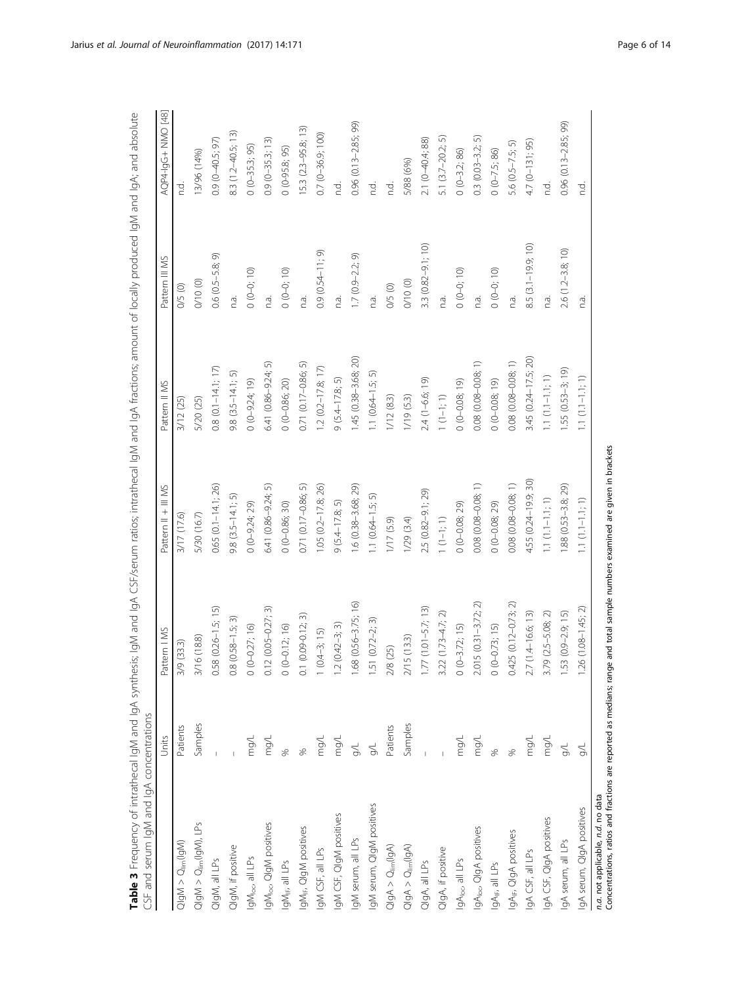<span id="page-5-0"></span>

| i<br>$+ 7 + 10 + 1$<br><b>CHICKS</b><br>İ<br>$\frac{1}{2}$<br>Ì<br>こうしょう<br>רב לבתרו ומה ומה לה<br>ll<br>くらく<br>$\frac{5}{2}$<br>ミニ・ニー<br>)<br>2<br>2<br>$\bar{2}$<br>$\frac{1}{2}$ laM and laA.<br>CSF and serum lgM and lgA concentrations<br><b>Cable 3</b> Frequency of intrathecal | ₫.<br>ļ<br>i<br>-<br>-<br>-<br>-<br>-<br>-<br>-<br>5<br>j |  |
|-----------------------------------------------------------------------------------------------------------------------------------------------------------------------------------------------------------------------------------------------------------------------------------------|-----------------------------------------------------------|--|
|                                                                                                                                                                                                                                                                                         |                                                           |  |
|                                                                                                                                                                                                                                                                                         |                                                           |  |
|                                                                                                                                                                                                                                                                                         |                                                           |  |
|                                                                                                                                                                                                                                                                                         |                                                           |  |

| יכוב המונח לערב בארצו במונח המונח המונח המונח המונח המונח המונח המונח המונח המונח המונח המונח המונח המונח המונ<br>המונח המונח המונח המונח המונח המונח המונח המונח המונח המונח המונח המונח המונח המונח המונח המונח המונח המונח המ | Units            | Pattern   MS                | Pattern II + III MS       | Pattern II MS            | Pattern III MS        | AQP4-19G+ NMO [48]       |
|----------------------------------------------------------------------------------------------------------------------------------------------------------------------------------------------------------------------------------|------------------|-----------------------------|---------------------------|--------------------------|-----------------------|--------------------------|
| $\label{eq:QI} \text{QIgM} > \text{Q}_{\text{lim}}(\text{IgM})$                                                                                                                                                                  | Patients         | 3/9 (33.3)                  | 3/17 (17.6)               | 3/12 (25)                | 0/5(0)                | c.<br>C                  |
| $Q gM>Q_{lim}( gM\rangle, \, \text{LPs}$                                                                                                                                                                                         | Samples          | 3/16 (18.8)                 | 5/30 (16.7)               | 5/20 (25)                | 0/10 (0)              | 13/96 (14%)              |
| QlgM, all LPs                                                                                                                                                                                                                    |                  | $0.58$ $(0.26 - 1.5; 15)$   | $0.65$ $(0.1 - 14.1; 26)$ | $0.8$ (0.1-14.1; 17)     | $0.6(0.5 - 5.8; 9)$   | $0.9(0-40.5; 97)$        |
| 2lgM, if positive                                                                                                                                                                                                                |                  | $(0.58 - 1.5; 3)$<br>0.8    | $9.8$ $(3.5 - 14.1; 5)$   | $9.8(3.5 - 14.1; 5)$     | n.a.                  | 8.3 (1.2-40.5; 13)       |
| gM <sub>loc</sub> , all LPs                                                                                                                                                                                                      | mg/L             | $0(0-0.27; 16)$             | $0 (0 - 9.24; 29)$        | $0(0-9.24; 19)$          | $0(0-0; 10)$          | $0(0-35.3; 95)$          |
| IgM <sub>loc</sub> , QIgM positives                                                                                                                                                                                              | mg/L             | $2(0.05 - 0.27; 3)$<br>0.12 | 6.41 (0.86-9.24; 5)       | 6.41 (0.86-9.24; 5)      | n.a.                  | $0.9(0-35.3; 13)$        |
| gM <sub>IF</sub> , all LPs                                                                                                                                                                                                       |                  | $0(0-0.12; 16)$             | $0 (0 - 0.86; 30)$        | $0(0 - 0.86; 20)$        | $0(0-0; 10)$          | $0(0-95.8; 95)$          |
| IgM <sub>IF</sub> , QIgM positives                                                                                                                                                                                               |                  | $0.1(0.09 - 0.12; 3)$       | 0.71 (0.17-0.86; 5)       | 0.71 (0.17-0.86; 5)      | n.a.                  | $[5.3 (2.3 - 95.8; 13)]$ |
| IgM CSF, all LPs                                                                                                                                                                                                                 | mg/L             | $(0.4-3; 15)$               | 1.05 (0.2-17.8; 26)       | $1.2$ $(0.2 - 17.8; 17)$ | $0.9(0.54 - 11; 9)$   | $0.7(0-36.9;100)$        |
| IgM CSF, QIgM positives                                                                                                                                                                                                          | $\gamma$         | $1.2(0.42-3; 3)$            | $9(5.4 - 17.8; 5)$        | $9(5.4 - 17.8; 5)$       | n.a.                  | n.d.                     |
| gM serum, all LPs                                                                                                                                                                                                                | $\frac{1}{2}$    | 1.68 (0.56-3.75; 16)        | 1.6 (0.38-3.68; 29)       | 1.45 (0.38-3.68; 20)     | $.7(0.9-2.2; 9)$      | 0.96 (0.13-2.85; 99)     |
| IgM serum, QIgM positives                                                                                                                                                                                                        | $\frac{1}{2}$    | $(0.72 - 2; 3)$<br>1.51     | $1.1$ $(0.64 - 1.5; 5)$   | $1.1 (0.64 - 1.5; 5)$    | n.a.                  | t.<br>C                  |
| $Q \vert gA \rangle \geq Q \vert_{\text{lim}} (\vert gA \rangle$                                                                                                                                                                 | Patients         | 2/8(25)                     | 1/17(5.9)                 | 1/12(8.3)                | 0/5(0)                | đ.                       |
| $\mathrm{QlgA}>\mathrm{Q}_{\mathrm{lim}}(\mathrm{lgA})$                                                                                                                                                                          | Samples          | 2/15(13.3)                  | 1/29(3.4)                 | 1/19(5.3)                | 0/10 (0)              | 5/88 (6%)                |
| QlgA, all LPs                                                                                                                                                                                                                    |                  | $(1.01 - 5.7; 13)$<br>1.77  | 2.5 (0.82-9.1; 29)        | 2.4 (1-6.6; 19)          | $3.3(0.82 - 9.1; 10)$ | 2.1 (0-40.4; 88)         |
| QlgA, if positive                                                                                                                                                                                                                |                  | $(1.73 - 4.7; 2)$<br>3.22   | $1(1-1; 1)$               | $1(1-1; 1)$              | n.a.                  | $5.1$ $(3.7-20.2; 5)$    |
| IgAloc all LPs                                                                                                                                                                                                                   | mg/L             | $0(0-3.72; 15)$             | $0(0-0.08; 29)$           | $0(0 - 0.08; 19)$        | $0(0-0; 10)$          | $0 (0 - 3.2; 86)$        |
| IgAloc, QIgA positives                                                                                                                                                                                                           | $\gamma 6\omega$ | $2.015$ $(0.31 - 3.72; 2)$  | $0.08$ $(0.08 - 0.08; 1)$ | $0.08(0.08 - 0.08, 1)$   | n.a.                  | $0.3$ $(0.03 - 3.2; 5)$  |
| IgA <sub>IF</sub> , all LPs                                                                                                                                                                                                      |                  | $0(0-0.73; 15)$             | $0(0-0.08; 29)$           | $0(0 - 0.08; 19)$        | $0(0-0; 10)$          | $0(0-7.5; 86)$           |
| IgA <sub>IF</sub> , QIgA positives                                                                                                                                                                                               |                  | $0.425(0.12 - 0.73; 2)$     | 0.08 (0.08-0.08; 1)       | 0.08 (0.08-0.08; 1)      | n.a.                  | 5.6 (0.5-7.5; 5)         |
| IgA CSF, all LPs                                                                                                                                                                                                                 | mg/L             | 2.7 (1.4-16.6; 13)          | 4.55 (0.24-19.9; 30)      | 3.45 (0.24-17.5; 20)     | $8.5(3.1 - 19.9; 10)$ | 4.7 (0-131; 95)          |
| IgA CSF, QIgA positives                                                                                                                                                                                                          | $\gamma b\omega$ | $3.79$ $(2.5 - 5.08; 2)$    | $1.1 \ (1.1{-}1.1; \ 1)$  | $1.1(111111; 1)$         | n.a.                  | n.d.                     |
| IgA serum, all LPs                                                                                                                                                                                                               |                  | $(0.9 - 2.9, 15)$<br>1.53   | 1.88 (0.53-3.8; 29)       | $1.55(0.53-3; 19)$       | 2.6 (1.2-3.8; 10)     | 0.96 (0.13-2.85; 99)     |
| IgA serum, QIgA positives                                                                                                                                                                                                        |                  | $(1.08 - 1.45; 2)$<br>1.26  | $1.1(1.1 - 1.1; 1)$       | $1.1(1.1-1.1; 1)$        | n.a.                  | n.d.                     |
| <i>n.a.</i> not applicable, <i>n.d.</i> no data<br>Concentrations, ratios and fractions are reported as medians; range and total sample numbers examined are given in brackets                                                   |                  |                             |                           |                          |                       |                          |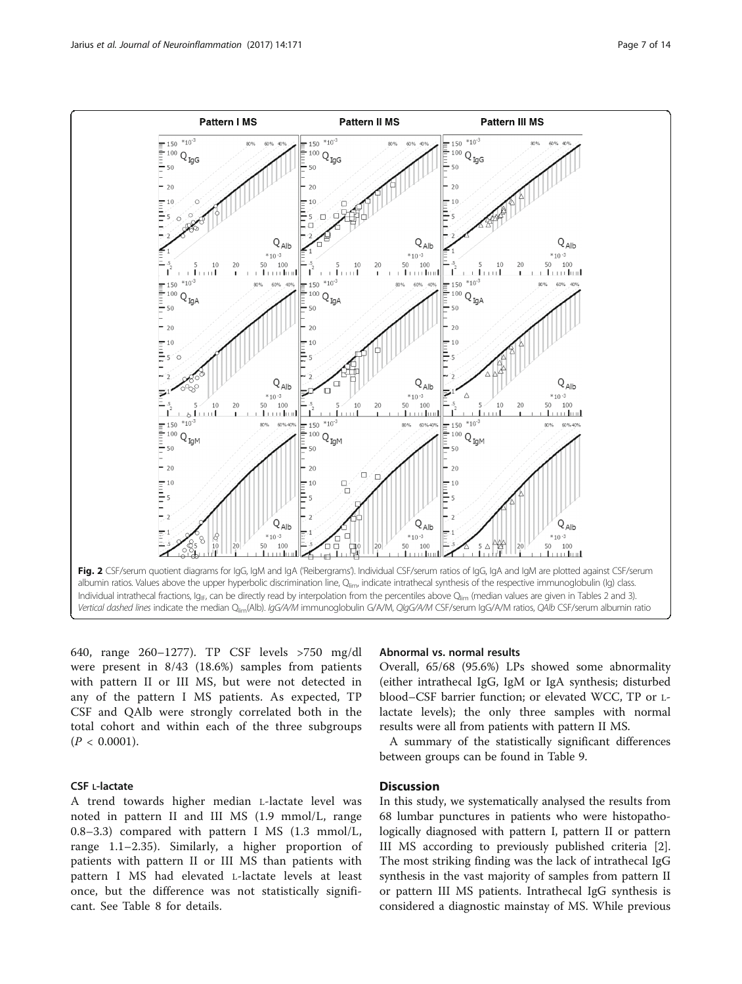<span id="page-6-0"></span>

640, range 260–1277). TP CSF levels >750 mg/dl were present in 8/43 (18.6%) samples from patients with pattern II or III MS, but were not detected in any of the pattern I MS patients. As expected, TP CSF and QAlb were strongly correlated both in the total cohort and within each of the three subgroups  $(P < 0.0001)$ .

# CSF L-lactate

A trend towards higher median L-lactate level was noted in pattern II and III MS (1.9 mmol/L, range 0.8–3.3) compared with pattern I MS (1.3 mmol/L, range 1.1–2.35). Similarly, a higher proportion of patients with pattern II or III MS than patients with pattern I MS had elevated L-lactate levels at least once, but the difference was not statistically significant. See Table [8](#page-9-0) for details.

# Abnormal vs. normal results

Overall, 65/68 (95.6%) LPs showed some abnormality (either intrathecal IgG, IgM or IgA synthesis; disturbed blood–CSF barrier function; or elevated WCC, TP or Llactate levels); the only three samples with normal results were all from patients with pattern II MS.

A summary of the statistically significant differences between groups can be found in Table [9](#page-10-0).

# **Discussion**

In this study, we systematically analysed the results from 68 lumbar punctures in patients who were histopathologically diagnosed with pattern I, pattern II or pattern III MS according to previously published criteria [\[2](#page-12-0)]. The most striking finding was the lack of intrathecal IgG synthesis in the vast majority of samples from pattern II or pattern III MS patients. Intrathecal IgG synthesis is considered a diagnostic mainstay of MS. While previous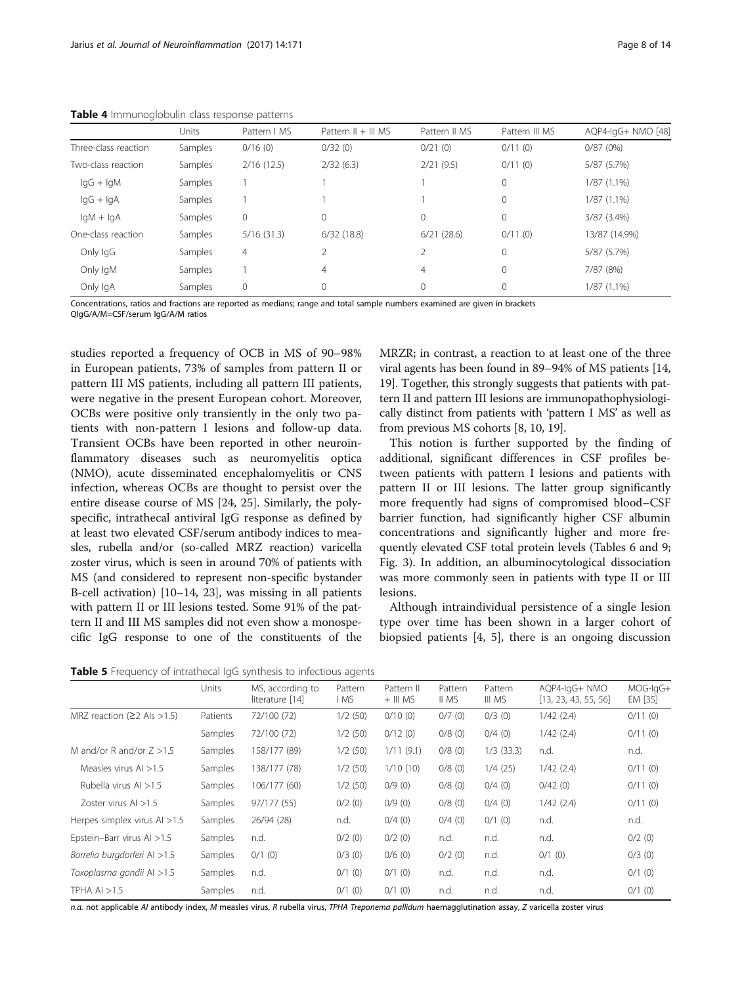|                      | Units          | Pattern   MS | Pattern $   +   $ MS | Pattern II MS  | Pattern III MS | AQP4-IqG+ NMO [48] |
|----------------------|----------------|--------------|----------------------|----------------|----------------|--------------------|
| Three-class reaction | <b>Samples</b> | 0/16(0)      | 0/32(0)              | 0/21(0)        | 0/11(0)        | 0/87(0%)           |
| Two-class reaction   | Samples        | 2/16(12.5)   | 2/32(6.3)            | 2/21(9.5)      | 0/11(0)        | 5/87 (5.7%)        |
| $\lg G + \lg M$      | Samples        |              |                      |                | 0              | $1/87(1.1\%)$      |
| $lgG + lgA$          | Samples        |              |                      |                | 0              | $1/87(1.1\%)$      |
| $IqM + IqA$          | Samples        | 0            | $\mathbf{0}$         | 0              | 0              | $3/87$ $(3.4\%)$   |
| One-class reaction   | Samples        | 5/16(31.3)   | 6/32(18.8)           | 6/21(28.6)     | 0/11(0)        | 13/87 (14.9%)      |
| Only IgG             | Samples        | 4            |                      |                | 0              | 5/87 (5.7%)        |
| Only IgM             | Samples        |              | 4                    | $\overline{4}$ | 0              | 7/87 (8%)          |
| Only IgA             | Samples        | $\mathbf{0}$ | 0                    | 0              | 0              | $1/87(1.1\%)$      |

<span id="page-7-0"></span>Table 4 Immunoglobulin class response patterns

Concentrations, ratios and fractions are reported as medians; range and total sample numbers examined are given in brackets

QIgG/A/M=CSF/serum IgG/A/M ratios

studies reported a frequency of OCB in MS of 90–98% in European patients, 73% of samples from pattern II or pattern III MS patients, including all pattern III patients, were negative in the present European cohort. Moreover, OCBs were positive only transiently in the only two patients with non-pattern I lesions and follow-up data. Transient OCBs have been reported in other neuroinflammatory diseases such as neuromyelitis optica (NMO), acute disseminated encephalomyelitis or CNS infection, whereas OCBs are thought to persist over the entire disease course of MS [[24, 25](#page-13-0)]. Similarly, the polyspecific, intrathecal antiviral IgG response as defined by at least two elevated CSF/serum antibody indices to measles, rubella and/or (so-called MRZ reaction) varicella zoster virus, which is seen in around 70% of patients with MS (and considered to represent non-specific bystander B-cell activation) [\[10](#page-12-0)–[14](#page-12-0), [23\]](#page-13-0), was missing in all patients with pattern II or III lesions tested. Some 91% of the pattern II and III MS samples did not even show a monospecific IgG response to one of the constituents of the

MRZR; in contrast, a reaction to at least one of the three viral agents has been found in 89–94% of MS patients [[14](#page-12-0), [19](#page-13-0)]. Together, this strongly suggests that patients with pattern II and pattern III lesions are immunopathophysiologically distinct from patients with 'pattern I MS' as well as from previous MS cohorts [[8, 10](#page-12-0), [19](#page-13-0)].

This notion is further supported by the finding of additional, significant differences in CSF profiles between patients with pattern I lesions and patients with pattern II or III lesions. The latter group significantly more frequently had signs of compromised blood–CSF barrier function, had significantly higher CSF albumin concentrations and significantly higher and more frequently elevated CSF total protein levels (Tables [6](#page-8-0) and [9](#page-10-0); Fig. [3](#page-11-0)). In addition, an albuminocytological dissociation was more commonly seen in patients with type II or III lesions.

Although intraindividual persistence of a single lesion type over time has been shown in a larger cohort of biopsied patients [[4, 5](#page-12-0)], there is an ongoing discussion

Table 5 Frequency of intrathecal IqG synthesis to infectious agents

|                                   | Units          | MS, according to<br>literature [14] | Pattern<br>l MS | Pattern II<br>$+$ III MS | Pattern<br>II MS | Pattern<br>III MS | AQP4-IqG+ NMO<br>[13, 23, 43, 55, 56] | MOG-IgG+<br>EM [35] |
|-----------------------------------|----------------|-------------------------------------|-----------------|--------------------------|------------------|-------------------|---------------------------------------|---------------------|
| MRZ reaction ( $\geq$ 2 Als >1.5) | Patients       | 72/100 (72)                         | 1/2(50)         | 0/10(0)                  | 0/7(0)           | $0/3$ (0)         | 1/42(2.4)                             | 0/11(0)             |
|                                   | Samples        | 72/100 (72)                         | 1/2(50)         | 0/12(0)                  | 0/8(0)           | 0/4(0)            | 1/42(2.4)                             | 0/11(0)             |
| M and/or R and/or $Z > 1.5$       | Samples        | 158/177 (89)                        | 1/2(50)         | 1/11(9.1)                | 0/8(0)           | $1/3$ (33.3)      | n.d.                                  | n.d.                |
| Measles virus $Al > 1.5$          | <b>Samples</b> | 138/177 (78)                        | 1/2(50)         | 1/10(10)                 | 0/8(0)           | 1/4(25)           | 1/42(2.4)                             | 0/11(0)             |
| Rubella virus AI $>1.5$           | <b>Samples</b> | 106/177 (60)                        | 1/2(50)         | 0/9(0)                   | 0/8(0)           | 0/4(0)            | 0/42(0)                               | 0/11(0)             |
| Zoster virus $Al > 1.5$           | <b>Samples</b> | 97/177 (55)                         | 0/2(0)          | 0/9(0)                   | 0/8(0)           | $0/4$ (0)         | 1/42(2.4)                             | 0/11(0)             |
| Herpes simplex virus $Al > 1.5$   | <b>Samples</b> | 26/94 (28)                          | n.d.            | 0/4(0)                   | $0/4$ (0)        | $0/1$ (0)         | n.d.                                  | n.d.                |
| Epstein-Barr virus Al >1.5        | <b>Samples</b> | n.d.                                | 0/2(0)          | 0/2(0)                   | n.d.             | n.d.              | n.d.                                  | 0/2(0)              |
| Borrelia burgdorferi AI >1.5      | Samples        | $0/1$ (0)                           | $0/3$ (0)       | 0/6(0)                   | 0/2(0)           | n.d.              | $0/1$ (0)                             | $0/3$ (0)           |
| Toxoplasma gondii Al >1.5         | <b>Samples</b> | n.d.                                | $0/1$ (0)       | $0/1$ (0)                | n.d.             | n.d.              | n.d.                                  | $0/1$ (0)           |
| TPHA AI $>1.5$                    | Samples        | n.d.                                | $0/1$ (0)       | $0/1$ (0)                | n.d.             | n.d.              | n.d.                                  | $0/1$ (0)           |

n.a. not applicable AI antibody index, M measles virus, R rubella virus, TPHA Treponema pallidum haemagglutination assay, Z varicella zoster virus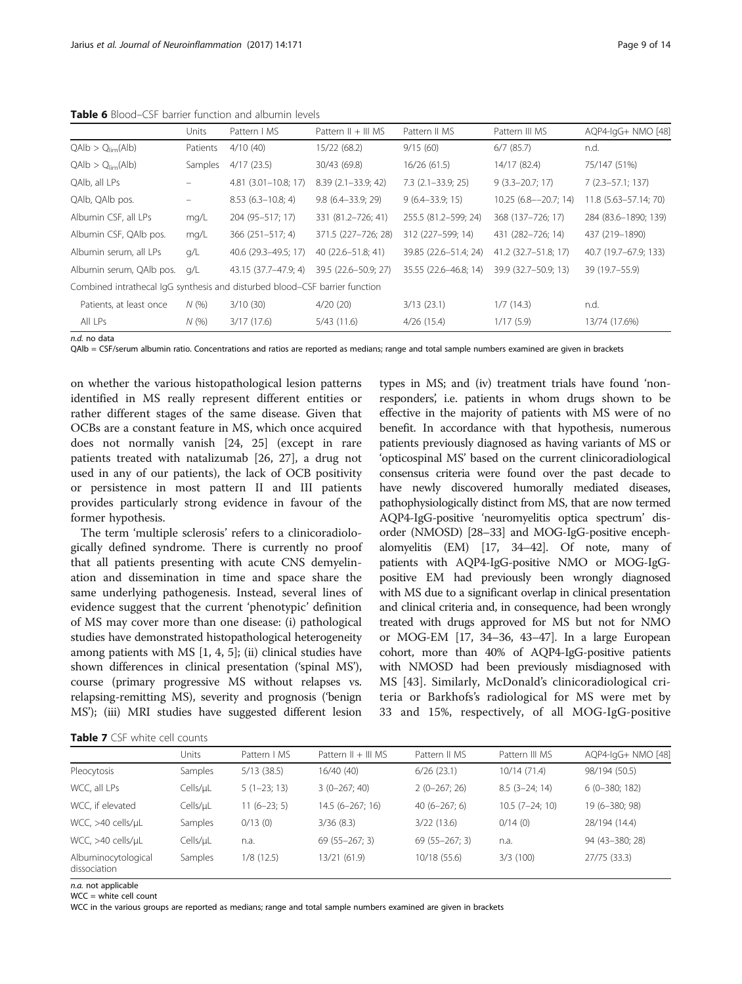<span id="page-8-0"></span>

|                                                                             | <b>Units</b> | Pattern   MS               | Pattern $   +   $ MS   | Pattern II MS            | Pattern III MS           | AQP4-IgG+ NMO [48]    |
|-----------------------------------------------------------------------------|--------------|----------------------------|------------------------|--------------------------|--------------------------|-----------------------|
| $QAlb > Q_{lim}(Alb)$                                                       | Patients     | 4/10(40)                   | 15/22 (68.2)           | 9/15(60)                 | $6/7$ (85.7)             | n.d.                  |
| $QAlb > Q_{lim}(Alb)$                                                       | Samples      | 4/17(23.5)                 | 30/43 (69.8)           | 16/26(61.5)              | 14/17 (82.4)             | 75/147 (51%)          |
| QAIb, all LPs                                                               |              | $4.81$ $(3.01 - 10.8; 17)$ | $8.39(2.1 - 33.9; 42)$ | $7.3$ $(2.1 - 33.9; 25)$ | $9(3.3 - 20.7; 17)$      | $7(2.3 - 57.1; 137)$  |
| QAIb, QAIb pos.                                                             |              | $8.53(6.3 - 10.8; 4)$      | $9.8$ (6.4-33.9; 29)   | $9(6.4 - 33.9; 15)$      | $10.25(6.8 - -20.7; 14)$ | 11.8 (5.63-57.14; 70) |
| Albumin CSF, all LPs                                                        | mq/L         | 204 (95-517; 17)           | 331 (81.2-726; 41)     | 255.5 (81.2-599; 24)     | 368 (137-726; 17)        | 284 (83.6-1890; 139)  |
| Albumin CSF, QAlb pos.                                                      | mq/L         | $366(251-517; 4)$          | 371.5 (227-726; 28)    | 312 (227-599; 14)        | 431 (282-726; 14)        | 437 (219-1890)        |
| Albumin serum, all LPs                                                      | q/L          | 40.6 (29.3-49.5; 17)       | 40 (22.6–51.8; 41)     | 39.85 (22.6-51.4; 24)    | 41.2 (32.7–51.8; 17)     | 40.7 (19.7-67.9; 133) |
| Albumin serum, QAlb pos.                                                    | g/L          | 43.15 (37.7-47.9: 4)       | 39.5 (22.6-50.9; 27)   | 35.55 (22.6-46.8; 14)    | 39.9 (32.7-50.9; 13)     | 39 (19.7–55.9)        |
| Combined intrathecal IgG synthesis and disturbed blood-CSF barrier function |              |                            |                        |                          |                          |                       |
| Patients, at least once                                                     | N(%          | 3/10(30)                   | 4/20(20)               | 3/13(23.1)               | 1/7(14.3)                | n.d.                  |
| All LPs                                                                     | N(%          | 3/17(17.6)                 | 5/43(11.6)             | 4/26(15.4)               | 1/17(5.9)                | 13/74 (17.6%)         |

n.d. no data

QAlb = CSF/serum albumin ratio. Concentrations and ratios are reported as medians; range and total sample numbers examined are given in brackets

on whether the various histopathological lesion patterns identified in MS really represent different entities or rather different stages of the same disease. Given that OCBs are a constant feature in MS, which once acquired does not normally vanish [\[24, 25](#page-13-0)] (except in rare patients treated with natalizumab [\[26](#page-13-0), [27\]](#page-13-0), a drug not used in any of our patients), the lack of OCB positivity or persistence in most pattern II and III patients provides particularly strong evidence in favour of the former hypothesis.

The term 'multiple sclerosis' refers to a clinicoradiologically defined syndrome. There is currently no proof that all patients presenting with acute CNS demyelination and dissemination in time and space share the same underlying pathogenesis. Instead, several lines of evidence suggest that the current 'phenotypic' definition of MS may cover more than one disease: (i) pathological studies have demonstrated histopathological heterogeneity among patients with MS [[1, 4, 5\]](#page-12-0); (ii) clinical studies have shown differences in clinical presentation ('spinal MS'), course (primary progressive MS without relapses vs. relapsing-remitting MS), severity and prognosis ('benign MS'); (iii) MRI studies have suggested different lesion

types in MS; and (iv) treatment trials have found 'nonresponders', i.e. patients in whom drugs shown to be effective in the majority of patients with MS were of no benefit. In accordance with that hypothesis, numerous patients previously diagnosed as having variants of MS or 'opticospinal MS' based on the current clinicoradiological consensus criteria were found over the past decade to have newly discovered humorally mediated diseases, pathophysiologically distinct from MS, that are now termed AQP4-IgG-positive 'neuromyelitis optica spectrum' disorder (NMOSD) [\[28](#page-13-0)–[33\]](#page-13-0) and MOG-IgG-positive encephalomyelitis (EM) [\[17,](#page-12-0) [34](#page-13-0)–[42](#page-13-0)]. Of note, many of patients with AQP4-IgG-positive NMO or MOG-IgGpositive EM had previously been wrongly diagnosed with MS due to a significant overlap in clinical presentation and clinical criteria and, in consequence, had been wrongly treated with drugs approved for MS but not for NMO or MOG-EM [[17](#page-12-0), [34](#page-13-0)–[36](#page-13-0), [43](#page-13-0)–[47](#page-13-0)]. In a large European cohort, more than 40% of AQP4-IgG-positive patients with NMOSD had been previously misdiagnosed with MS [[43\]](#page-13-0). Similarly, McDonald's clinicoradiological criteria or Barkhofs's radiological for MS were met by 33 and 15%, respectively, of all MOG-IgG-positive

|                                     | Units          | Pattern   MS  | Pattern $II + III$ MS | Pattern II MS  | Pattern III MS   | AQP4-lgG+ NMO [48] |
|-------------------------------------|----------------|---------------|-----------------------|----------------|------------------|--------------------|
| Pleocytosis                         | <b>Samples</b> | 5/13(38.5)    | 16/40 (40)            | 6/26(23.1)     | 10/14(71.4)      | 98/194 (50.5)      |
| WCC, all LPs                        | Cells/µL       | $5(1-23; 13)$ | $3(0-267; 40)$        | $2(0-267; 26)$ | $8.5$ (3-24; 14) | $6(0-380; 182)$    |
| WCC, if elevated                    | Cells/uL       | $11(6-23; 5)$ | $14.5(6-267; 16)$     | $40(6-267; 6)$ | $10.5(7-24:10)$  | 19 (6-380; 98)     |
| $WCC, >40$ cells/ $\mu$ L           | Samples        | 0/13(0)       | 3/36(8.3)             | 3/22(13.6)     | 0/14(0)          | 28/194 (14.4)      |
| $WCC, >40$ cells/ $\mu$ L           | Cells/uL       | n.a.          | $69(55 - 267; 3)$     | $69(55-267:3)$ | n.a.             | 94 (43-380: 28)    |
| Albuminocytological<br>dissociation | Samples        | 1/8 (12.5)    | 13/21 (61.9)          | 10/18 (55.6)   | 3/3(100)         | 27/75(33.3)        |

n.a. not applicable

 $WCC =$  white cell count

WCC in the various groups are reported as medians; range and total sample numbers examined are given in brackets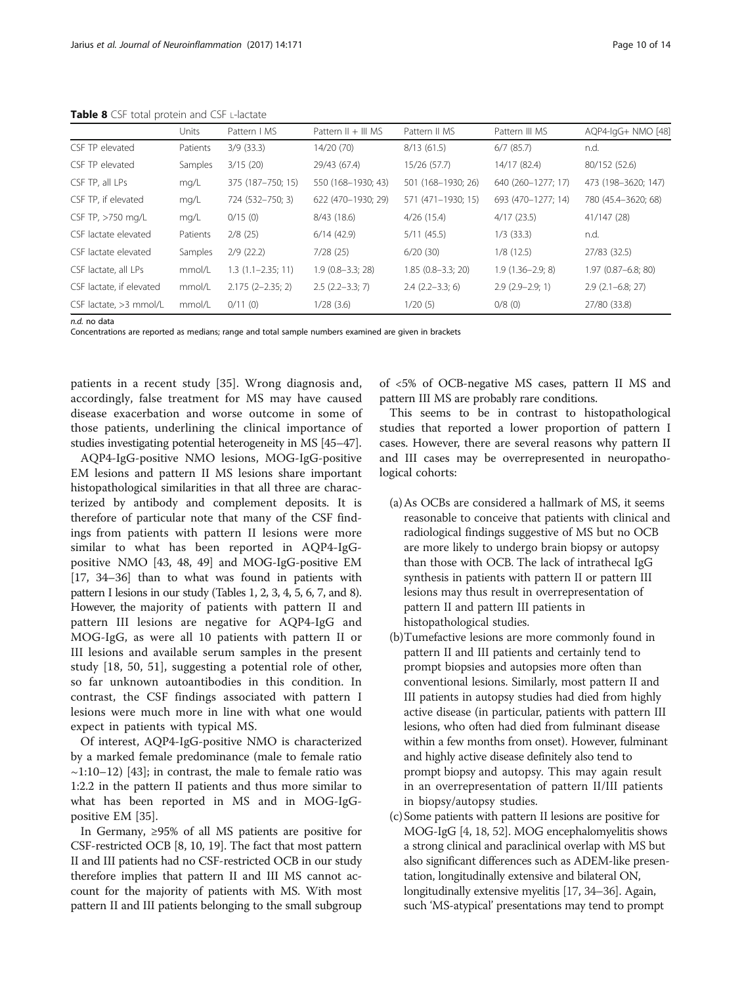|                          | Units    | Pattern   MS          | Pattern $   +   $ MS | Pattern II MS       | Pattern III MS       | AQP4-IqG+ NMO [48]           |
|--------------------------|----------|-----------------------|----------------------|---------------------|----------------------|------------------------------|
| CSF TP elevated          | Patients | 3/9(33.3)             | 14/20 (70)           | 8/13(61.5)          | $6/7$ (85.7)         | n.d.                         |
| CSF TP elevated          | Samples  | 3/15(20)              | 29/43 (67.4)         | 15/26 (57.7)        | 14/17 (82.4)         | 80/152 (52.6)                |
| CSF TP, all LPs          | mg/L     | 375 (187-750; 15)     | 550 (168-1930; 43)   | 501 (168-1930; 26)  | 640 (260-1277; 17)   | 473 (198-3620; 147)          |
| CSF TP, if elevated      | mg/L     | 724 (532-750; 3)      | 622 (470-1930; 29)   | 571 (471-1930: 15)  | 693 (470-1277; 14)   | 780 (45.4-3620; 68)          |
| CSF TP, >750 mg/L        | mg/L     | 0/15(0)               | 8/43 (18.6)          | 4/26(15.4)          | 4/17(23.5)           | 41/147 (28)                  |
| CSF lactate elevated     | Patients | 2/8(25)               | 6/14(42.9)           | 5/11(45.5)          | $1/3$ (33.3)         | n.d.                         |
| CSF lactate elevated     | Samples  | 2/9(22.2)             | 7/28(25)             | 6/20(30)            | 1/8(12.5)            | 27/83 (32.5)                 |
| CSF lactate, all LPs     | mmol/L   | $1.3(1.1 - 2.35; 11)$ | $1.9(0.8 - 3.3; 28)$ | $1.85(0.8-3.3; 20)$ | $1.9(1.36 - 2.9; 8)$ | 1.97 (0.87-6.8; 80)          |
| CSF lactate, if elevated | mmol/L   | $2.175(2-2.35; 2)$    | $2.5$ (2.2–3.3; 7)   | $2.4$ (2.2-3.3; 6)  | $2.9(2.9-2.9; 1)$    | $2.9$ ( $2.1 - 6.8$ ; $27$ ) |
| CSF lactate, $>3$ mmol/L | mmol/L   | 0/11(0)               | 1/28(3.6)            | 1/20(5)             | 0/8(0)               | 27/80 (33.8)                 |

<span id="page-9-0"></span>Table 8 CSF total protein and CSF L-lactate

n.d. no data

Concentrations are reported as medians; range and total sample numbers examined are given in brackets

patients in a recent study [\[35\]](#page-13-0). Wrong diagnosis and, accordingly, false treatment for MS may have caused disease exacerbation and worse outcome in some of those patients, underlining the clinical importance of studies investigating potential heterogeneity in MS [[45](#page-13-0)–[47](#page-13-0)].

AQP4-IgG-positive NMO lesions, MOG-IgG-positive EM lesions and pattern II MS lesions share important histopathological similarities in that all three are characterized by antibody and complement deposits. It is therefore of particular note that many of the CSF findings from patients with pattern II lesions were more similar to what has been reported in AQP4-IgGpositive NMO [\[43, 48, 49](#page-13-0)] and MOG-IgG-positive EM [[17](#page-12-0), [34](#page-13-0)–[36](#page-13-0)] than to what was found in patients with pattern I lesions in our study (Tables [1](#page-2-0), [2,](#page-4-0) [3,](#page-5-0) [4, 5](#page-7-0), [6](#page-8-0), [7](#page-8-0), and 8). However, the majority of patients with pattern II and pattern III lesions are negative for AQP4-IgG and MOG-IgG, as were all 10 patients with pattern II or III lesions and available serum samples in the present study [\[18](#page-13-0), [50](#page-13-0), [51\]](#page-13-0), suggesting a potential role of other, so far unknown autoantibodies in this condition. In contrast, the CSF findings associated with pattern I lesions were much more in line with what one would expect in patients with typical MS.

Of interest, AQP4-IgG-positive NMO is characterized by a marked female predominance (male to female ratio  $\sim$ 1:10–12) [[43\]](#page-13-0); in contrast, the male to female ratio was 1:2.2 in the pattern II patients and thus more similar to what has been reported in MS and in MOG-IgGpositive EM [[35\]](#page-13-0).

In Germany, ≥95% of all MS patients are positive for CSF-restricted OCB [[8, 10](#page-12-0), [19\]](#page-13-0). The fact that most pattern II and III patients had no CSF-restricted OCB in our study therefore implies that pattern II and III MS cannot account for the majority of patients with MS. With most pattern II and III patients belonging to the small subgroup

of <5% of OCB-negative MS cases, pattern II MS and pattern III MS are probably rare conditions.

This seems to be in contrast to histopathological studies that reported a lower proportion of pattern I cases. However, there are several reasons why pattern II and III cases may be overrepresented in neuropathological cohorts:

- (a)As OCBs are considered a hallmark of MS, it seems reasonable to conceive that patients with clinical and radiological findings suggestive of MS but no OCB are more likely to undergo brain biopsy or autopsy than those with OCB. The lack of intrathecal IgG synthesis in patients with pattern II or pattern III lesions may thus result in overrepresentation of pattern II and pattern III patients in histopathological studies.
- (b)Tumefactive lesions are more commonly found in pattern II and III patients and certainly tend to prompt biopsies and autopsies more often than conventional lesions. Similarly, most pattern II and III patients in autopsy studies had died from highly active disease (in particular, patients with pattern III lesions, who often had died from fulminant disease within a few months from onset). However, fulminant and highly active disease definitely also tend to prompt biopsy and autopsy. This may again result in an overrepresentation of pattern II/III patients in biopsy/autopsy studies.
- (c)Some patients with pattern II lesions are positive for MOG-IgG [\[4,](#page-12-0) [18,](#page-13-0) [52\]](#page-13-0). MOG encephalomyelitis shows a strong clinical and paraclinical overlap with MS but also significant differences such as ADEM-like presentation, longitudinally extensive and bilateral ON, longitudinally extensive myelitis [\[17](#page-12-0), [34](#page-13-0)–[36\]](#page-13-0). Again, such 'MS-atypical' presentations may tend to prompt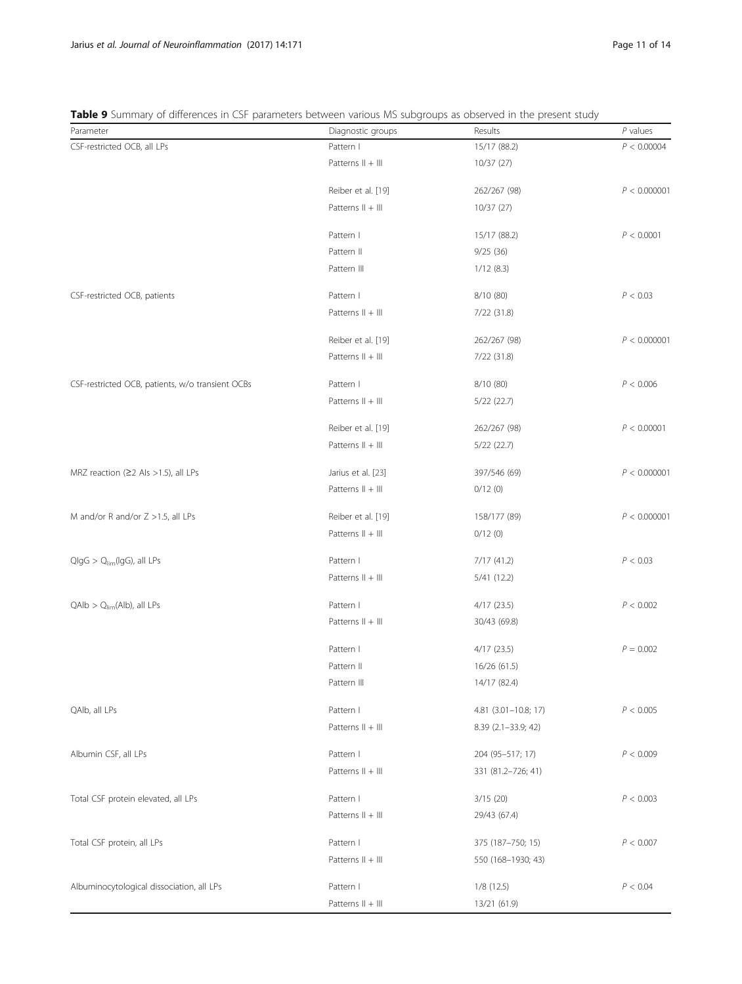# <span id="page-10-0"></span>Table 9 Summary of differences in CSF parameters between various MS subgroups as observed in the present study

| Parameter                                        | Diagnostic groups   | Results              | $P$ values   |
|--------------------------------------------------|---------------------|----------------------|--------------|
| CSF-restricted OCB, all LPs                      | Pattern I           | 15/17 (88.2)         | P < 0.00004  |
|                                                  | Patterns $   +    $ | 10/37 (27)           |              |
|                                                  | Reiber et al. [19]  | 262/267 (98)         | P < 0.000001 |
|                                                  | Patterns II + III   | 10/37 (27)           |              |
|                                                  | Pattern I           | 15/17 (88.2)         | P < 0.0001   |
|                                                  | Pattern II          | 9/25(36)             |              |
|                                                  | Pattern III         | 1/12(8.3)            |              |
| CSF-restricted OCB, patients                     | Pattern I           | 8/10 (80)            | P < 0.03     |
|                                                  | Patterns $   +    $ | 7/22 (31.8)          |              |
|                                                  | Reiber et al. [19]  | 262/267 (98)         | P < 0.000001 |
|                                                  | Patterns II + III   | 7/22 (31.8)          |              |
| CSF-restricted OCB, patients, w/o transient OCBs | Pattern I           | 8/10 (80)            | P < 0.006    |
|                                                  | Patterns $   +    $ | 5/22(22.7)           |              |
|                                                  | Reiber et al. [19]  | 262/267 (98)         | P < 0.00001  |
|                                                  | Patterns $   +    $ | 5/22(22.7)           |              |
| MRZ reaction ( $\geq$ 2 Als >1.5), all LPs       | Jarius et al. [23]  | 397/546 (69)         | P < 0.000001 |
|                                                  | Patterns II + III   | 0/12(0)              |              |
| M and/or R and/or Z >1.5, all LPs                | Reiber et al. [19]  | 158/177 (89)         | P < 0.000001 |
|                                                  | Patterns $   +    $ | 0/12(0)              |              |
| $Q \mid gG > Q_{\text{lim}}(\mid gG),$ all LPs   | Pattern I           | 7/17 (41.2)          | P < 0.03     |
|                                                  | Patterns II + III   | 5/41 (12.2)          |              |
| $QAlb > Q_{\text{lim}}(Alb)$ , all LPs           | Pattern I           | 4/17(23.5)           | P < 0.002    |
|                                                  | Patterns II + III   | 30/43 (69.8)         |              |
|                                                  | Pattern I           | 4/17(23.5)           | $P = 0.002$  |
|                                                  | Pattern II          | 16/26 (61.5)         |              |
|                                                  | Pattern III         | 14/17 (82.4)         |              |
| QAIb, all LPs                                    | Pattern I           | 4.81 (3.01-10.8; 17) | P < 0.005    |
|                                                  | Patterns $   +    $ | 8.39 (2.1-33.9; 42)  |              |
| Albumin CSF, all LPs                             | Pattern I           | 204 (95-517; 17)     | P < 0.009    |
|                                                  | Patterns II + III   | 331 (81.2-726; 41)   |              |
| Total CSF protein elevated, all LPs              | Pattern I           | 3/15(20)             | P < 0.003    |
|                                                  | Patterns $   +    $ | 29/43 (67.4)         |              |
| Total CSF protein, all LPs                       | Pattern I           | 375 (187-750; 15)    | P < 0.007    |
|                                                  | Patterns $   +    $ | 550 (168-1930; 43)   |              |
| Albuminocytological dissociation, all LPs        | Pattern I           | 1/8(12.5)            | P < 0.04     |
|                                                  | Patterns II + III   | 13/21 (61.9)         |              |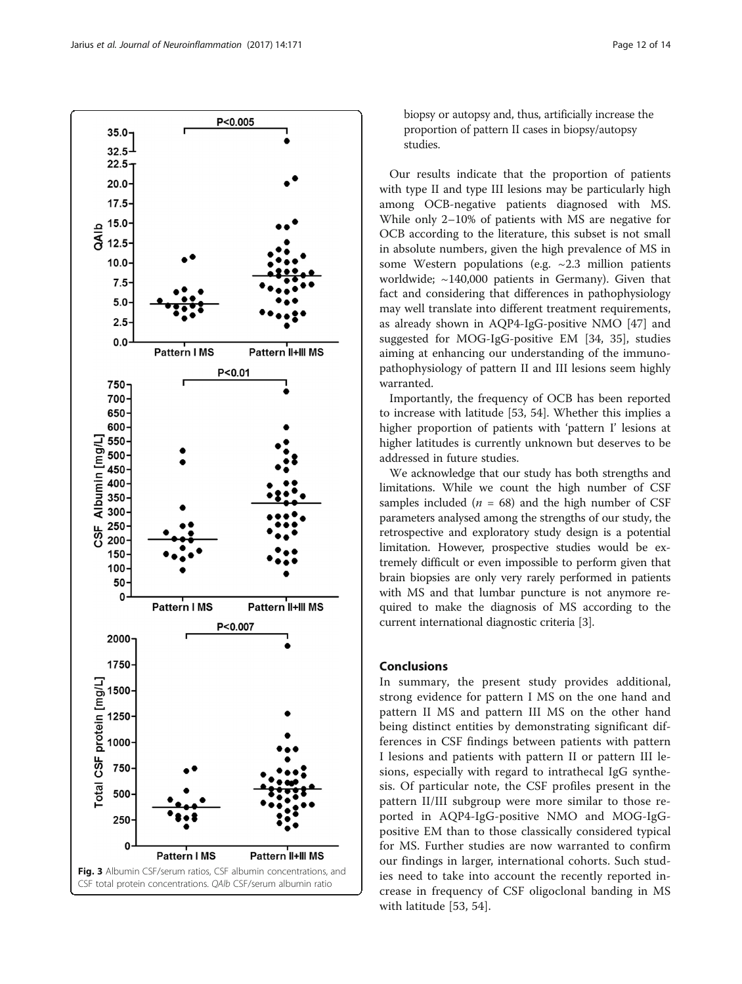<span id="page-11-0"></span>

biopsy or autopsy and, thus, artificially increase the proportion of pattern II cases in biopsy/autopsy studies.

Our results indicate that the proportion of patients with type II and type III lesions may be particularly high among OCB-negative patients diagnosed with MS. While only 2–10% of patients with MS are negative for OCB according to the literature, this subset is not small in absolute numbers, given the high prevalence of MS in some Western populations (e.g. ~2.3 million patients worldwide; ~140,000 patients in Germany). Given that fact and considering that differences in pathophysiology may well translate into different treatment requirements, as already shown in AQP4-IgG-positive NMO [[47](#page-13-0)] and suggested for MOG-IgG-positive EM [[34, 35\]](#page-13-0), studies aiming at enhancing our understanding of the immunopathophysiology of pattern II and III lesions seem highly warranted.

Importantly, the frequency of OCB has been reported to increase with latitude [[53, 54\]](#page-13-0). Whether this implies a higher proportion of patients with 'pattern I' lesions at higher latitudes is currently unknown but deserves to be addressed in future studies.

We acknowledge that our study has both strengths and limitations. While we count the high number of CSF samples included ( $n = 68$ ) and the high number of CSF parameters analysed among the strengths of our study, the retrospective and exploratory study design is a potential limitation. However, prospective studies would be extremely difficult or even impossible to perform given that brain biopsies are only very rarely performed in patients with MS and that lumbar puncture is not anymore required to make the diagnosis of MS according to the current international diagnostic criteria [\[3](#page-12-0)].

# Conclusions

In summary, the present study provides additional, strong evidence for pattern I MS on the one hand and pattern II MS and pattern III MS on the other hand being distinct entities by demonstrating significant differences in CSF findings between patients with pattern I lesions and patients with pattern II or pattern III lesions, especially with regard to intrathecal IgG synthesis. Of particular note, the CSF profiles present in the pattern II/III subgroup were more similar to those reported in AQP4-IgG-positive NMO and MOG-IgGpositive EM than to those classically considered typical for MS. Further studies are now warranted to confirm our findings in larger, international cohorts. Such studies need to take into account the recently reported increase in frequency of CSF oligoclonal banding in MS with latitude [[53, 54\]](#page-13-0).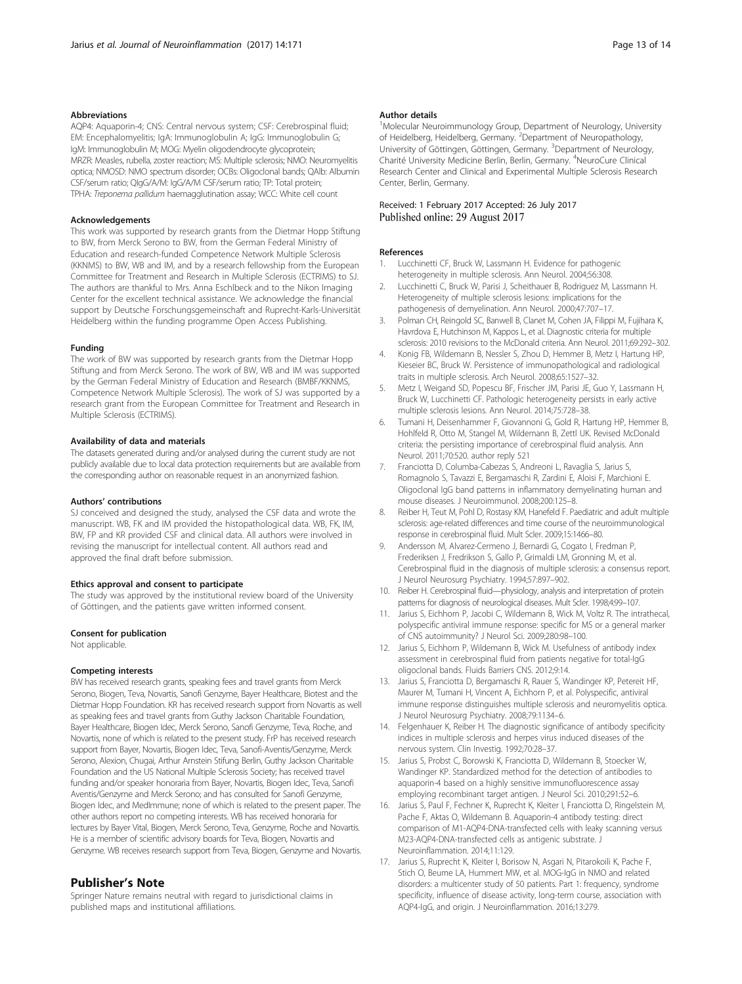#### <span id="page-12-0"></span>Abbreviations

AQP4: Aquaporin-4; CNS: Central nervous system; CSF: Cerebrospinal fluid; EM: Encephalomyelitis; IgA: Immunoglobulin A; IgG: Immunoglobulin G; IgM: Immunoglobulin M; MOG: Myelin oligodendrocyte glycoprotein; MRZR: Measles, rubella, zoster reaction; MS: Multiple sclerosis; NMO: Neuromyelitis optica; NMOSD: NMO spectrum disorder; OCBs: Oligoclonal bands; QAlb: Albumin CSF/serum ratio; QIgG/A/M: IgG/A/M CSF/serum ratio; TP: Total protein; TPHA: Treponema pallidum haemagglutination assay; WCC: White cell count

#### Acknowledgements

This work was supported by research grants from the Dietmar Hopp Stiftung to BW, from Merck Serono to BW, from the German Federal Ministry of Education and research-funded Competence Network Multiple Sclerosis (KKNMS) to BW, WB and IM, and by a research fellowship from the European Committee for Treatment and Research in Multiple Sclerosis (ECTRIMS) to SJ. The authors are thankful to Mrs. Anna Eschlbeck and to the Nikon Imaging Center for the excellent technical assistance. We acknowledge the financial support by Deutsche Forschungsgemeinschaft and Ruprecht-Karls-Universität Heidelberg within the funding programme Open Access Publishing.

#### Funding

The work of BW was supported by research grants from the Dietmar Hopp Stiftung and from Merck Serono. The work of BW, WB and IM was supported by the German Federal Ministry of Education and Research (BMBF/KKNMS, Competence Network Multiple Sclerosis). The work of SJ was supported by a research grant from the European Committee for Treatment and Research in Multiple Sclerosis (ECTRIMS).

#### Availability of data and materials

The datasets generated during and/or analysed during the current study are not publicly available due to local data protection requirements but are available from the corresponding author on reasonable request in an anonymized fashion.

#### Authors' contributions

SJ conceived and designed the study, analysed the CSF data and wrote the manuscript. WB, FK and IM provided the histopathological data. WB, FK, IM, BW, FP and KR provided CSF and clinical data. All authors were involved in revising the manuscript for intellectual content. All authors read and approved the final draft before submission.

# Ethics approval and consent to participate

The study was approved by the institutional review board of the University of Göttingen, and the patients gave written informed consent.

#### Consent for publication

Not applicable.

#### Competing interests

BW has received research grants, speaking fees and travel grants from Merck Serono, Biogen, Teva, Novartis, Sanofi Genzyme, Bayer Healthcare, Biotest and the Dietmar Hopp Foundation. KR has received research support from Novartis as well as speaking fees and travel grants from Guthy Jackson Charitable Foundation, Bayer Healthcare, Biogen Idec, Merck Serono, Sanofi Genzyme, Teva, Roche, and Novartis, none of which is related to the present study. FrP has received research support from Bayer, Novartis, Biogen Idec, Teva, Sanofi-Aventis/Genzyme, Merck Serono, Alexion, Chugai, Arthur Arnstein Stifung Berlin, Guthy Jackson Charitable Foundation and the US National Multiple Sclerosis Society; has received travel funding and/or speaker honoraria from Bayer, Novartis, Biogen Idec, Teva, Sanofi Aventis/Genzyme and Merck Serono; and has consulted for Sanofi Genzyme, Biogen Idec, and MedImmune; none of which is related to the present paper. The other authors report no competing interests. WB has received honoraria for lectures by Bayer Vital, Biogen, Merck Serono, Teva, Genzyme, Roche and Novartis. He is a member of scientific advisory boards for Teva, Biogen, Novartis and Genzyme. WB receives research support from Teva, Biogen, Genzyme and Novartis.

#### Publisher's Note

Springer Nature remains neutral with regard to jurisdictional claims in published maps and institutional affiliations.

#### Author details

<sup>1</sup>Molecular Neuroimmunology Group, Department of Neurology, University of Heidelberg, Heidelberg, Germany. <sup>2</sup>Department of Neuropathology, University of Göttingen, Göttingen, Germany. <sup>3</sup>Department of Neurology, Charité University Medicine Berlin, Berlin, Germany. <sup>4</sup>NeuroCure Clinical Research Center and Clinical and Experimental Multiple Sclerosis Research Center, Berlin, Germany.

# Received: 1 February 2017 Accepted: 26 July 2017<br>Published online: 29 August 2017

#### References

- 1. Lucchinetti CF, Bruck W, Lassmann H. Evidence for pathogenic heterogeneity in multiple sclerosis. Ann Neurol. 2004;56:308.
- 2. Lucchinetti C, Bruck W, Parisi J, Scheithauer B, Rodriguez M, Lassmann H. Heterogeneity of multiple sclerosis lesions: implications for the pathogenesis of demyelination. Ann Neurol. 2000;47:707–17.
- 3. Polman CH, Reingold SC, Banwell B, Clanet M, Cohen JA, Filippi M, Fujihara K, Havrdova E, Hutchinson M, Kappos L, et al. Diagnostic criteria for multiple sclerosis: 2010 revisions to the McDonald criteria. Ann Neurol. 2011;69:292–302.
- 4. Konig FB, Wildemann B, Nessler S, Zhou D, Hemmer B, Metz I, Hartung HP, Kieseier BC, Bruck W. Persistence of immunopathological and radiological traits in multiple sclerosis. Arch Neurol. 2008;65:1527–32.
- 5. Metz I, Weigand SD, Popescu BF, Frischer JM, Parisi JE, Guo Y, Lassmann H, Bruck W, Lucchinetti CF. Pathologic heterogeneity persists in early active multiple sclerosis lesions. Ann Neurol. 2014;75:728–38.
- 6. Tumani H, Deisenhammer F, Giovannoni G, Gold R, Hartung HP, Hemmer B, Hohlfeld R, Otto M, Stangel M, Wildemann B, Zettl UK. Revised McDonald criteria: the persisting importance of cerebrospinal fluid analysis. Ann Neurol. 2011;70:520. author reply 521
- 7. Franciotta D, Columba-Cabezas S, Andreoni L, Ravaglia S, Jarius S, Romagnolo S, Tavazzi E, Bergamaschi R, Zardini E, Aloisi F, Marchioni E. Oligoclonal IgG band patterns in inflammatory demyelinating human and mouse diseases. J Neuroimmunol. 2008;200:125–8.
- 8. Reiber H, Teut M, Pohl D, Rostasy KM, Hanefeld F. Paediatric and adult multiple sclerosis: age-related differences and time course of the neuroimmunological response in cerebrospinal fluid. Mult Scler. 2009;15:1466–80.
- 9. Andersson M, Alvarez-Cermeno J, Bernardi G, Cogato I, Fredman P, Frederiksen J, Fredrikson S, Gallo P, Grimaldi LM, Gronning M, et al. Cerebrospinal fluid in the diagnosis of multiple sclerosis: a consensus report. J Neurol Neurosurg Psychiatry. 1994;57:897–902.
- 10. Reiber H. Cerebrospinal fluid—physiology, analysis and interpretation of protein patterns for diagnosis of neurological diseases. Mult Scler. 1998;4:99–107.
- 11. Jarius S, Eichhorn P, Jacobi C, Wildemann B, Wick M, Voltz R. The intrathecal, polyspecific antiviral immune response: specific for MS or a general marker of CNS autoimmunity? J Neurol Sci. 2009;280:98–100.
- 12. Jarius S, Eichhorn P, Wildemann B, Wick M. Usefulness of antibody index assessment in cerebrospinal fluid from patients negative for total-IgG oligoclonal bands. Fluids Barriers CNS. 2012;9:14.
- 13. Jarius S, Franciotta D, Bergamaschi R, Rauer S, Wandinger KP, Petereit HF, Maurer M, Tumani H, Vincent A, Eichhorn P, et al. Polyspecific, antiviral immune response distinguishes multiple sclerosis and neuromyelitis optica. J Neurol Neurosurg Psychiatry. 2008;79:1134–6.
- 14. Felgenhauer K, Reiber H. The diagnostic significance of antibody specificity indices in multiple sclerosis and herpes virus induced diseases of the nervous system. Clin Investig. 1992;70:28–37.
- 15. Jarius S, Probst C, Borowski K, Franciotta D, Wildemann B, Stoecker W, Wandinger KP. Standardized method for the detection of antibodies to aquaporin-4 based on a highly sensitive immunofluorescence assay employing recombinant target antigen. J Neurol Sci. 2010;291:52–6.
- 16. Jarius S, Paul F, Fechner K, Ruprecht K, Kleiter I, Franciotta D, Ringelstein M, Pache F, Aktas O, Wildemann B. Aquaporin-4 antibody testing: direct comparison of M1-AQP4-DNA-transfected cells with leaky scanning versus M23-AQP4-DNA-transfected cells as antigenic substrate. J Neuroinflammation. 2014;11:129.
- 17. Jarius S, Ruprecht K, Kleiter I, Borisow N, Asgari N, Pitarokoili K, Pache F, Stich O, Beume LA, Hummert MW, et al. MOG-IgG in NMO and related disorders: a multicenter study of 50 patients. Part 1: frequency, syndrome specificity, influence of disease activity, long-term course, association with AQP4-IgG, and origin. J Neuroinflammation. 2016;13:279.